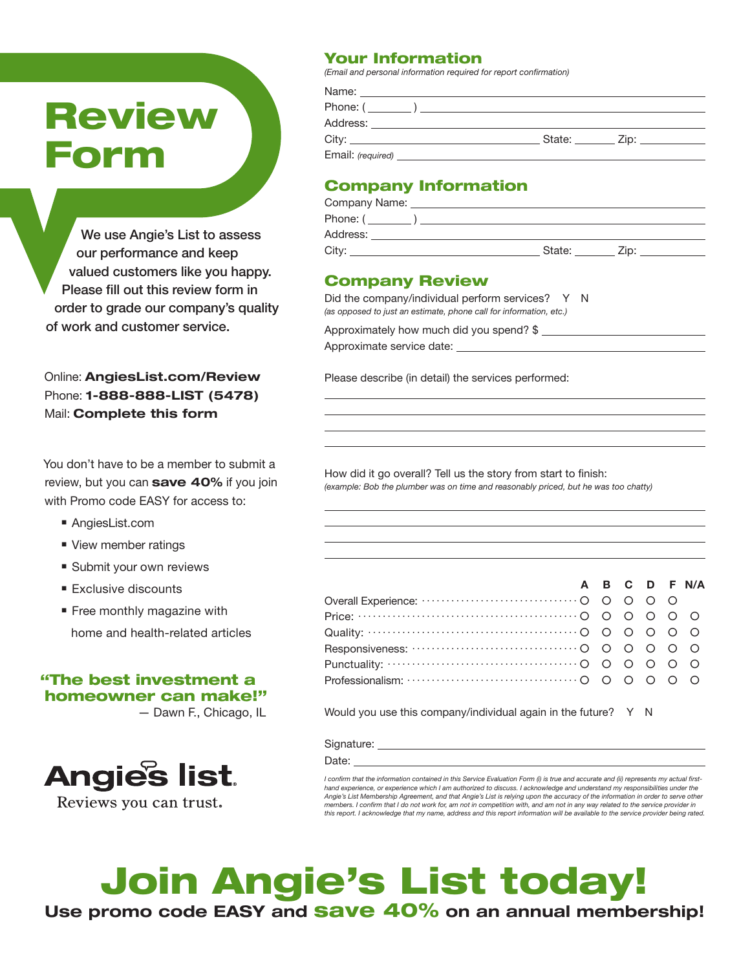# **Review** Form

We use Angie's List to assess our performance and keep valued customers like you happy. Please fill out this review form in order to grade our company's quality of work and customer service.

Online: AngiesList.com/Review Phone: **1-888-888-LIST (5478)** Mail: **Complete this form** 

You don't have to be a member to submit a review, but you can save 40% if you join with Promo code EASY for access to:

- AngiesList.com
- View member ratings
- Submit your own reviews
- $E$  Exclusive discounts
- $\blacksquare$  Free monthly magazine with home and health-related articles

#### "The best investment a homeowner can make!"

— Dawn F., Chicago, IL



Reviews you can trust.

#### Your Information

*(Email and personal information required for report confirmation)*

| Phone: (                                                                                                      |                                                                                                                                                                                                                                |
|---------------------------------------------------------------------------------------------------------------|--------------------------------------------------------------------------------------------------------------------------------------------------------------------------------------------------------------------------------|
|                                                                                                               |                                                                                                                                                                                                                                |
| State: The State of the State of the State of the State of the State of the State of the State of the State o | Zip: The contract of the contract of the contract of the contract of the contract of the contract of the contract of the contract of the contract of the contract of the contract of the contract of the contract of the contr |
|                                                                                                               |                                                                                                                                                                                                                                |
|                                                                                                               |                                                                                                                                                                                                                                |

#### Company Information

| Company Name: |        |      |
|---------------|--------|------|
| Phone: (      |        |      |
| Address:      |        |      |
| City:         | State: | Zip: |

#### Company Review

Did the company/individual perform services? Y N *(as opposed to just an estimate, phone call for information, etc.)* 

Approximately how much did you spend? \$ Approximate service date:

Please describe (in detail) the services performed:

How did it go overall? Tell us the story from start to finish: *(example: Bob the plumber was on time and reasonably priced, but he was too chatty)*

|                                                                                                                                                            |  |  | A B C D F N/A |
|------------------------------------------------------------------------------------------------------------------------------------------------------------|--|--|---------------|
|                                                                                                                                                            |  |  |               |
|                                                                                                                                                            |  |  |               |
| Quality: $\cdots$ $\cdots$ $\cdots$ $\cdots$ $\cdots$ $\cdots$ $\cdots$ $\cdots$ $\cdots$ $\cdots$ $\odot$ $\odot$ $\odot$ $\odot$ $\odot$ $\odot$ $\odot$ |  |  |               |
|                                                                                                                                                            |  |  |               |
| Punctuality: $\cdots$ $\cdots$ $\cdots$ $\cdots$ $\cdots$ $\cdots$ $\cdots$ $\cdots$ $\cdots$ $\odot$ $\odot$ $\odot$ $\odot$ $\odot$ $\odot$              |  |  |               |
|                                                                                                                                                            |  |  |               |

Would you use this company/individual again in the future? Y N

Signature:

Date:

*I confirm that the information contained in this Service Evaluation Form (i) is true and accurate and (ii) represents my actual firsthand experience, or experience which I am authorized to discuss. I acknowledge and understand my responsibilities under the Angie's List Membership Agreement, and that Angie's List is relying upon the accuracy of the information in order to serve other members. I confirm that I do not work for, am not in competition with, and am not in any way related to the service provider in this report. I acknowledge that my name, address and this report information will be available to the service provider being rated.*

## Join Angie's List today! Use promo code EASY and **Save 40%** on an annual membership!